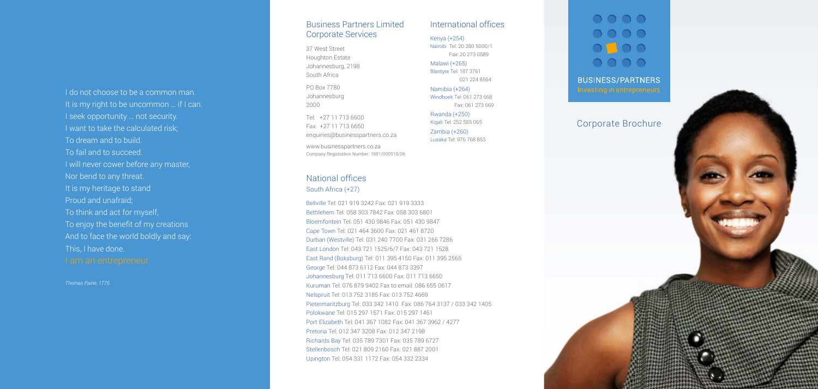### I do not choose to be a common man. It is my right to be uncommon ... if I can. I seek opportunity … not security. I want to take the calculated risk; To dream and to build. To fail and to succeed. I will never cower before any master, Nor bend to any threat. It is my heritage to stand Proud and unafraid; To think and act for myself, To enjoy the benefit of my creations And to face the world boldly and say:

This, I have done.

*Thomas Paine, 1776.*

### Corporate Brochure

#### Business Partners Limited Corporate Services

37 West Street Houghton Estate Johannesburg, 2198 South Africa

PO Box 7780 Johannesburg 2000

Tel: +27 11 713 6600 Fax: +27 11 713 6650 enquiries@businesspartners.co.za

www.businesspartners.co.za Company Registration Number: 1981/000918/06

Bellville Tel: 021 919 3242 Fax: 021 919 3333 Bethlehem Tel: 058 303 7842 Fax: 058 303 6801 Bloemfontein Tel: 051 430 9846 Fax: 051 430 9847 Cape Town Tel: 021 464 3600 Fax: 021 461 8720 Durban (Westville) Tel: 031 240 7700 Fax: 031 266 7286 East London Tel: 043 721 1525/6/7 Fax: 043 721 1528 East Rand (Boksburg) Tel: 011 395 4150 Fax: 011 395 2565 George Tel: 044 873 6112 Fax: 044 873 3397 Johannesburg Tel: 011 713 6600 Fax: 011 713 6650 Kuruman Tel: 076 879 9402 Fax to email: 086 655 0617 Nelspruit Tel: 013 752 3185 Fax: 013 752 4669 Pietermaritzburg Tel: 033 342 1410 Fax: 086 764 3137 / 033 342 1405 Polokwane Tel: 015 297 1571 Fax: 015 297 1461 Port Elizabeth Tel: 041 367 1082 Fax: 041 367 3962 / 4277 Pretoria Tel: 012 347 3208 Fax: 012 347 2198 Richards Bay Tel: 035 789 7301 Fax: 035 789 6727 Stellenbosch Tel: 021 809 2160 Fax: 021 887 2001 Upington Tel: 054 331 1172 Fax: 054 332 2334

#### National offices South Africa (+27)

#### International offices

Malawi (+265) Blantyre Tel: 187 3761 021 224 8564

Rwanda (+250) Kigali Tel: 252 585 065 Zambia (+260) Lusaka Tel: 976 768 853

 $\bigcirc$   $\bigcirc$   $\bigcirc$   $\bigcirc$  $\bigcirc$   $\bigcirc$   $\bigcirc$   $\bigcirc$  $\bigcirc$   $\bigcirc$   $\bigcirc$  $\bigcirc$   $\bigcirc$   $\bigcirc$   $\bigcirc$ **BUSINESS/PARTNERS** 

Namibia (+264) Windhoek Tel: 061 273 668 Fax: 061 273 669

Kenya (+254) Nairobi Tel: 20 280 5000/1 Fax: 20 273 0589